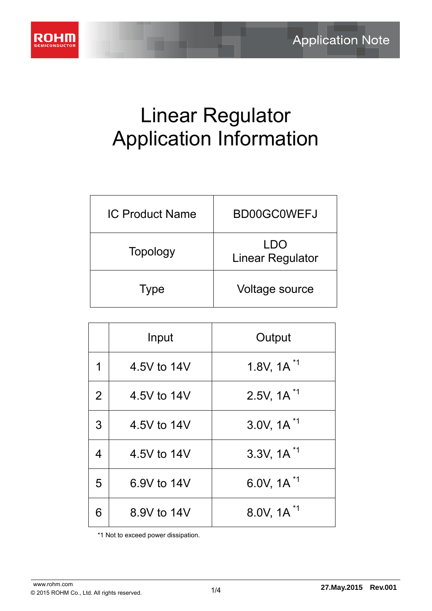

# Linear Regulator Application Information

| <b>IC Product Name</b> | BD00GC0WEFJ                    |
|------------------------|--------------------------------|
| Topology               | <b>LDO</b><br>Linear Regulator |
| <b>Type</b>            | Voltage source                 |

|   | Input       | Output                             |
|---|-------------|------------------------------------|
| 1 | 4.5V to 14V | 1.8V, $1A^{\prime 1}$              |
| 2 | 4.5V to 14V | $2.5V, 1A^{1}$                     |
| 3 | 4.5V to 14V | $3.0V, 1A^{1}$                     |
| 4 | 4.5V to 14V | $3.3V, 1A^{1}$                     |
| 5 | 6.9V to 14V | 6.0V, $1A^{\text{H}}$              |
|   | 8.9V to 14V | 8.0V, 1A <sup><math>1</math></sup> |

\*1 Not to exceed power dissipation.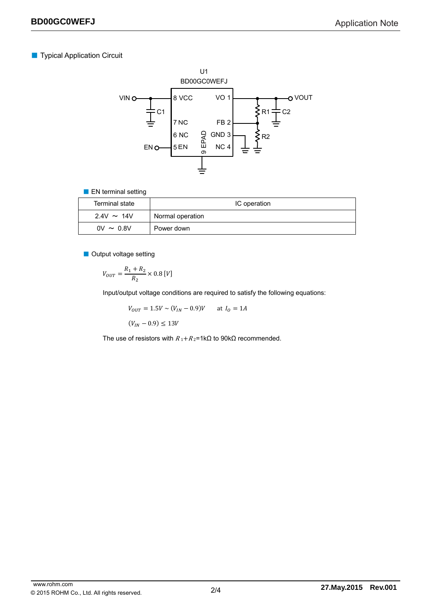# ■ Typical Application Circuit



#### ■ EN terminal setting

| Terminal state  | IC operation     |
|-----------------|------------------|
| $2.4V \sim 14V$ | Normal operation |
| $0V \sim 0.8V$  | Power down       |

■ Output voltage setting

$$
V_{OUT} = \frac{R_1 + R_2}{R_2} \times 0.8 \,[V]
$$

Input/output voltage conditions are required to satisfy the following equations:

$$
V_{OUT} = 1.5V \sim (V_{IN} - 0.9)V \quad \text{at } I_0 = 1A
$$

 $(V_{IN} - 0.9) \le 13V$ 

The use of resistors with  $R_1 + R_2 = 1 \text{k}\Omega$  to 90k $\Omega$  recommended.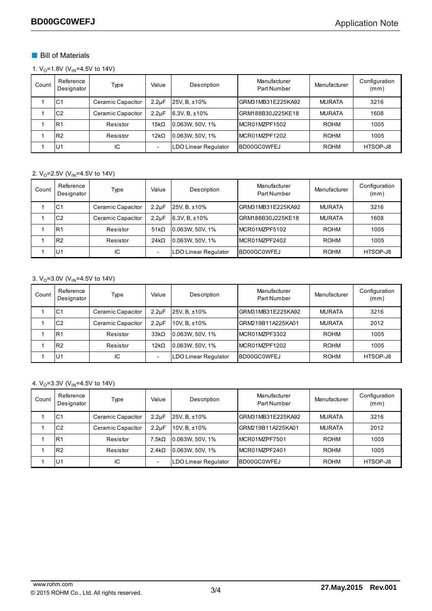# ■ Bill of Materials

1.  $V_0$ =1.8V ( $V_{IN}$ =4.5V to 14V)

| Count | Reference<br>Designator | Type              | Value                    | Description          | Manufacturer<br>Part Number | Manufacturer  | Configuration<br>(mm) |
|-------|-------------------------|-------------------|--------------------------|----------------------|-----------------------------|---------------|-----------------------|
|       | C <sub>1</sub>          | Ceramic Capacitor | $2.2 \mu F$              | 25V, B, ±10%         | GRM31MB31E225KA92           | <b>MURATA</b> | 3216                  |
|       | C <sub>2</sub>          | Ceramic Capacitor | 2.2 <sub>u</sub> F       | 6.3V, $B, \pm 10\%$  | GRM188B30J225KE18           | <b>MURATA</b> | 1608                  |
|       | R <sub>1</sub>          | Resistor          | $15k\Omega$              | 0.063W, 50V, 1%      | MCR01MZPF1502               | <b>ROHM</b>   | 1005                  |
|       | R <sub>2</sub>          | Resistor          | $12k\Omega$              | 0.063W, 50V, 1%      | MCR01MZPF1202               | <b>ROHM</b>   | 1005                  |
|       | .U1                     | IC                | $\overline{\phantom{0}}$ | LDO Linear Regulator | <b>BD00GC0WFEJ</b>          | <b>ROHM</b>   | HTSOP-J8              |

#### 2.  $V_0$ =2.5V ( $V_{IN}$ =4.5V to 14V)

| Count | Reference<br>Designator | Type              | Value                    | Description                 | Manufacturer<br>Part Number | Manufacturer  | Configuration<br>(mm) |
|-------|-------------------------|-------------------|--------------------------|-----------------------------|-----------------------------|---------------|-----------------------|
|       | C <sub>1</sub>          | Ceramic Capacitor | 2.2 <sub>u</sub> F       | 25V, B, ±10%                | GRM31MB31E225KA92           | <b>MURATA</b> | 3216                  |
|       | C <sub>2</sub>          | Ceramic Capacitor | 2.2 <sub>u</sub> F       | $6.3V, B, \pm 10\%$         | GRM188B30J225KE18           | <b>MURATA</b> | 1608                  |
|       | R <sub>1</sub>          | Resistor          | 51k <sub>Ω</sub>         | 0.063W, 50V, 1%             | MCR01MZPF5102               | <b>ROHM</b>   | 1005                  |
|       | R <sub>2</sub>          | Resistor          | $24k\Omega$              | 0.063W, 50V, 1%             | MCR01MZPF2402               | <b>ROHM</b>   | 1005                  |
|       | <b>U1</b>               | IC                | $\overline{\phantom{a}}$ | <b>LDO Linear Regulator</b> | BD00GC0WFEJ                 | <b>ROHM</b>   | HTSOP-J8              |

## 3.  $V_0$ =3.0V ( $V_{IN}$ =4.5V to 14V)

| Count | Reference<br>Designator | Type              | Value                    | Description                 | Manufacturer<br>Part Number | Manufacturer  | Configuration<br>(mm) |
|-------|-------------------------|-------------------|--------------------------|-----------------------------|-----------------------------|---------------|-----------------------|
|       | C <sub>1</sub>          | Ceramic Capacitor | 2.2 <sub>u</sub> F       | 25V. B. ±10%                | GRM31MB31E225KA92           | <b>MURATA</b> | 3216                  |
|       | C <sub>2</sub>          | Ceramic Capacitor | 2.2 <sub>u</sub> F       | 10V. B. ±10%                | GRM219B11A225KA01           | <b>MURATA</b> | 2012                  |
|       | R <sub>1</sub>          | Resistor          | $33k\Omega$              | 0.063W. 50V. 1%             | MCR01MZPF3302               | <b>ROHM</b>   | 1005                  |
|       | R <sub>2</sub>          | Resistor          | $12k\Omega$              | 0.063W, 50V, 1%             | MCR01MZPF1202               | <b>ROHM</b>   | 1005                  |
|       | .U1                     | IС                | $\overline{\phantom{0}}$ | <b>LDO Linear Regulator</b> | IBD00GC0WFEJ                | <b>ROHM</b>   | HTSOP-J8              |

#### 4.  $V_0$ =3.3V ( $V_{IN}$ =4.5V to 14V)

| Count | Reference<br>Designator | Type              | Value              | Description                 | Manufacturer<br>Part Number | Manufacturer  | Configuration<br>(mm) |
|-------|-------------------------|-------------------|--------------------|-----------------------------|-----------------------------|---------------|-----------------------|
|       | C <sub>1</sub>          | Ceramic Capacitor | 2.2 <sub>U</sub> F | $25V. B. \pm 10\%$          | GRM31MB31E225KA92           | <b>MURATA</b> | 3216                  |
|       | C <sub>2</sub>          | Ceramic Capacitor | 2.2 <sub>u</sub> F | 10V, B, ±10%                | GRM219B11A225KA01           | <b>MURATA</b> | 2012                  |
|       | R <sub>1</sub>          | Resistor          | $7.5k\Omega$       | 0.063W, 50V, 1%             | MCR01MZPF7501               | <b>ROHM</b>   | 1005                  |
|       | R <sub>2</sub>          | Resistor          | $2.4k\Omega$       | 0.063W, 50V, 1%             | MCR01MZPF2401               | <b>ROHM</b>   | 1005                  |
|       | U1                      | IC                |                    | <b>LDO Linear Regulator</b> | BD00GC0WFEJ                 | ROHM          | HTSOP-J8              |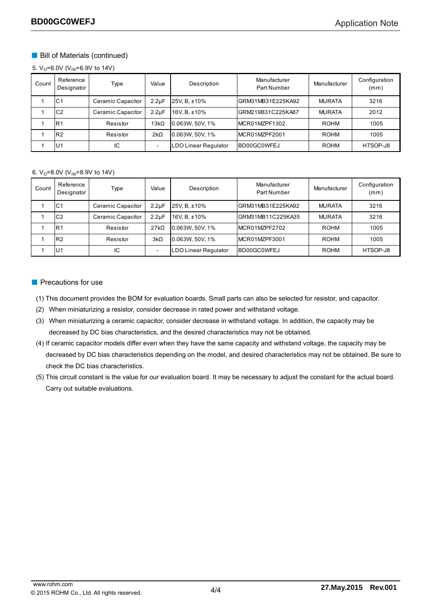# ■ Bill of Materials (continued)

5.  $V_0$ =6.0V (V<sub>IN</sub>=6.9V to 14V)

| Count | Reference<br>Designator | Type              | Value                    | Description          | Manufacturer<br>Part Number | Manufacturer  | Configuration<br>(mm) |
|-------|-------------------------|-------------------|--------------------------|----------------------|-----------------------------|---------------|-----------------------|
|       | IC <sub>1</sub>         | Ceramic Capacitor | $2.2 \mu F$              | 25V, B, ±10%         | GRM31MB31E225KA92           | <b>MURATA</b> | 3216                  |
|       | C <sub>2</sub>          | Ceramic Capacitor | 2.2 <sub>u</sub> F       | 16V, B, ±10%         | GRM219B31C225KA87           | <b>MURATA</b> | 2012                  |
|       | IR1                     | Resistor          | $13k\Omega$              | 0.063W, 50V, 1%      | IMCR01MZPF1302              | <b>ROHM</b>   | 1005                  |
|       | IR2                     | Resistor          | $2k\Omega$               | 0.063W, 50V, 1%      | MCR01MZPF2001               | <b>ROHM</b>   | 1005                  |
|       | U <sub>1</sub>          | IC                | $\overline{\phantom{0}}$ | LDO Linear Regulator | BD00GC0WFEJ                 | <b>ROHM</b>   | HTSOP-J8              |

#### 6.  $V_0$ =8.0V ( $V_{IN}$ =8.9V to 14V)

| Count | Reference<br>Designator | Type              | Value              | Description          | Manufacturer<br>Part Number | Manufacturer  | Configuration<br>(mm) |
|-------|-------------------------|-------------------|--------------------|----------------------|-----------------------------|---------------|-----------------------|
|       | IC1                     | Ceramic Capacitor | 2.2 <sub>u</sub> F | 25V, B, ±10%         | GRM31MB31E225KA92           | <b>MURATA</b> | 3216                  |
|       | C <sub>2</sub>          | Ceramic Capacitor | 2.2 <sub>u</sub> F | 16V. B. ±10%         | GRM31MB11C225KA35           | <b>MURATA</b> | 3216                  |
|       | R <sub>1</sub>          | Resistor          | 27k <sub>0</sub>   | 0.063W, 50V, 1%      | MCR01MZPF2702               | <b>ROHM</b>   | 1005                  |
|       | R <sub>2</sub>          | Resistor          | $3k\Omega$         | 0.063W, 50V, 1%      | IMCR01MZPF3001              | <b>ROHM</b>   | 1005                  |
|       | U1                      | IC                |                    | LDO Linear Regulator | BD00GC0WFEJ                 | <b>ROHM</b>   | HTSOP-J8              |

## ■ Precautions for use

(1) This document provides the BOM for evaluation boards. Small parts can also be selected for resistor, and capacitor.

- (2) When miniaturizing a resistor, consider decrease in rated power and withstand voltage.
- (3) When miniaturizing a ceramic capacitor, consider decrease in withstand voltage. In addition, the capacity may be decreased by DC bias characteristics, and the desired characteristics may not be obtained.
- (4) If ceramic capacitor models differ even when they have the same capacity and withstand voltage, the capacity may be decreased by DC bias characteristics depending on the model, and desired characteristics may not be obtained. Be sure to check the DC bias characteristics.
- (5) This circuit constant is the value for our evaluation board. It may be necessary to adjust the constant for the actual board. Carry out suitable evaluations.